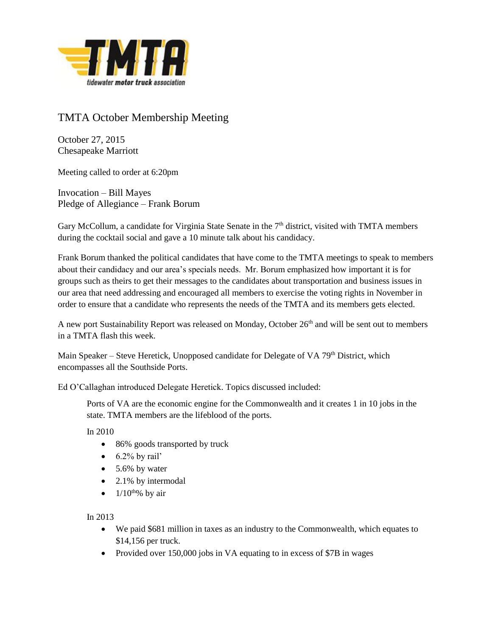

## TMTA October Membership Meeting

October 27, 2015 Chesapeake Marriott

Meeting called to order at 6:20pm

Invocation – Bill Mayes Pledge of Allegiance – Frank Borum

Gary McCollum, a candidate for Virginia State Senate in the 7<sup>th</sup> district, visited with TMTA members during the cocktail social and gave a 10 minute talk about his candidacy.

Frank Borum thanked the political candidates that have come to the TMTA meetings to speak to members about their candidacy and our area's specials needs. Mr. Borum emphasized how important it is for groups such as theirs to get their messages to the candidates about transportation and business issues in our area that need addressing and encouraged all members to exercise the voting rights in November in order to ensure that a candidate who represents the needs of the TMTA and its members gets elected.

A new port Sustainability Report was released on Monday, October 26<sup>th</sup> and will be sent out to members in a TMTA flash this week.

Main Speaker – Steve Heretick, Unopposed candidate for Delegate of VA  $79<sup>th</sup>$  District, which encompasses all the Southside Ports.

Ed O'Callaghan introduced Delegate Heretick. Topics discussed included:

Ports of VA are the economic engine for the Commonwealth and it creates 1 in 10 jobs in the state. TMTA members are the lifeblood of the ports.

In 2010

- 86% goods transported by truck
- $\bullet$  6.2% by rail'
- $\bullet$  5.6% by water
- 2.1% by intermodal
- $\bullet$  1/10<sup>th</sup>% by air

In 2013

- We paid \$681 million in taxes as an industry to the Commonwealth, which equates to \$14,156 per truck.
- Provided over 150,000 jobs in VA equating to in excess of \$7B in wages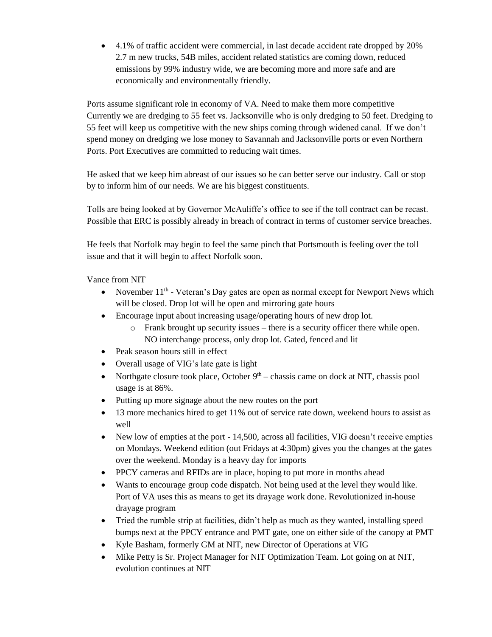4.1% of traffic accident were commercial, in last decade accident rate dropped by 20% 2.7 m new trucks, 54B miles, accident related statistics are coming down, reduced emissions by 99% industry wide, we are becoming more and more safe and are economically and environmentally friendly.

Ports assume significant role in economy of VA. Need to make them more competitive Currently we are dredging to 55 feet vs. Jacksonville who is only dredging to 50 feet. Dredging to 55 feet will keep us competitive with the new ships coming through widened canal. If we don't spend money on dredging we lose money to Savannah and Jacksonville ports or even Northern Ports. Port Executives are committed to reducing wait times.

He asked that we keep him abreast of our issues so he can better serve our industry. Call or stop by to inform him of our needs. We are his biggest constituents.

Tolls are being looked at by Governor McAuliffe's office to see if the toll contract can be recast. Possible that ERC is possibly already in breach of contract in terms of customer service breaches.

He feels that Norfolk may begin to feel the same pinch that Portsmouth is feeling over the toll issue and that it will begin to affect Norfolk soon.

Vance from NIT

- November  $11<sup>th</sup>$  Veteran's Day gates are open as normal except for Newport News which will be closed. Drop lot will be open and mirroring gate hours
- Encourage input about increasing usage/operating hours of new drop lot.
	- o Frank brought up security issues there is a security officer there while open. NO interchange process, only drop lot. Gated, fenced and lit
- Peak season hours still in effect
- Overall usage of VIG's late gate is light
- Northgate closure took place, October  $9<sup>th</sup>$  chassis came on dock at NIT, chassis pool usage is at 86%.
- Putting up more signage about the new routes on the port
- 13 more mechanics hired to get 11% out of service rate down, weekend hours to assist as well
- New low of empties at the port 14,500, across all facilities, VIG doesn't receive empties on Mondays. Weekend edition (out Fridays at 4:30pm) gives you the changes at the gates over the weekend. Monday is a heavy day for imports
- PPCY cameras and RFIDs are in place, hoping to put more in months ahead
- Wants to encourage group code dispatch. Not being used at the level they would like. Port of VA uses this as means to get its drayage work done. Revolutionized in-house drayage program
- Tried the rumble strip at facilities, didn't help as much as they wanted, installing speed bumps next at the PPCY entrance and PMT gate, one on either side of the canopy at PMT
- Kyle Basham, formerly GM at NIT, new Director of Operations at VIG
- Mike Petty is Sr. Project Manager for NIT Optimization Team. Lot going on at NIT, evolution continues at NIT